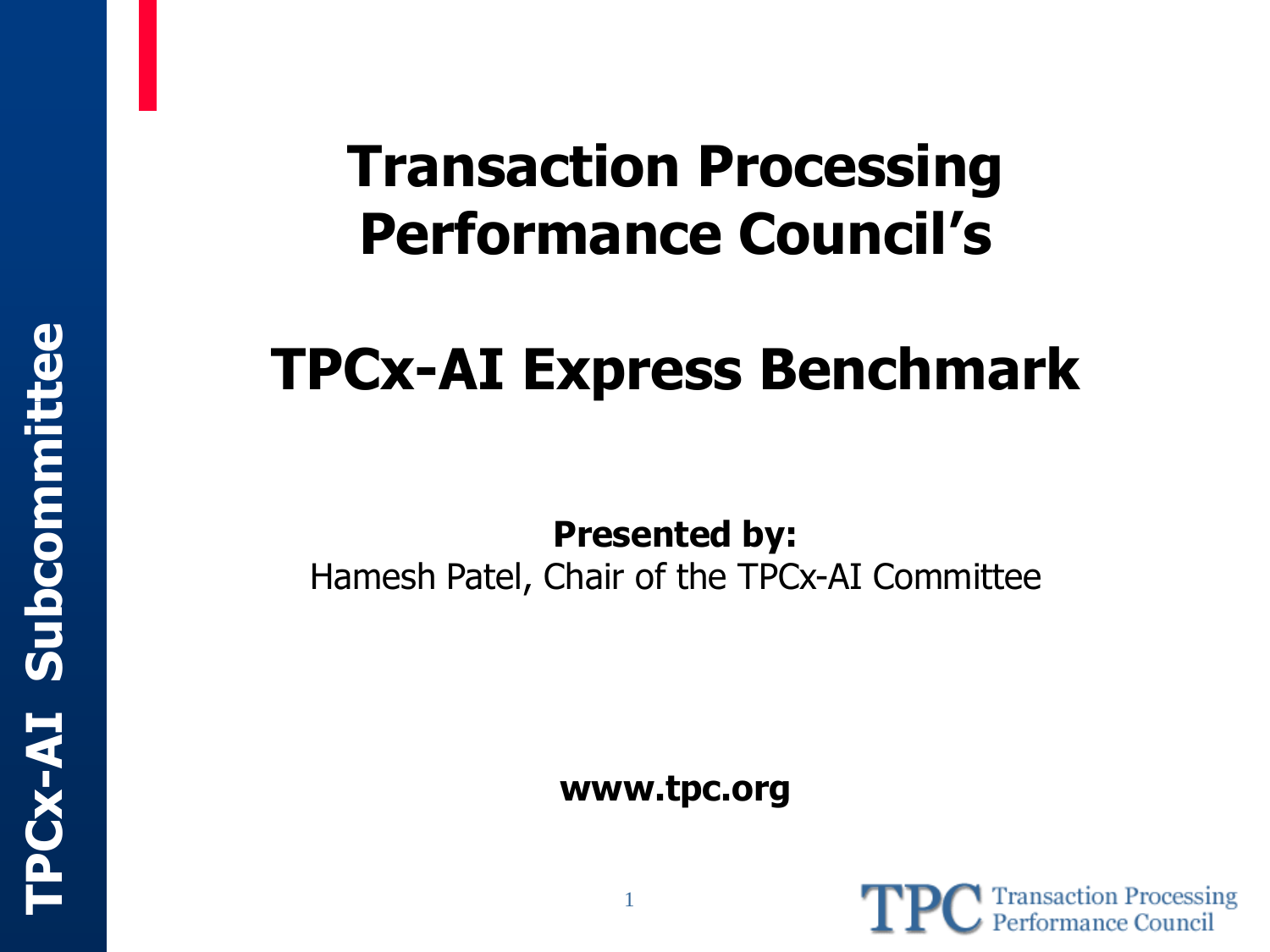### **Transaction Processing Performance Council's**

### **TPCx-AI Express Benchmark**

**Presented by:** Hamesh Patel, Chair of the TPCx-AI Committee

**www.tpc.org**

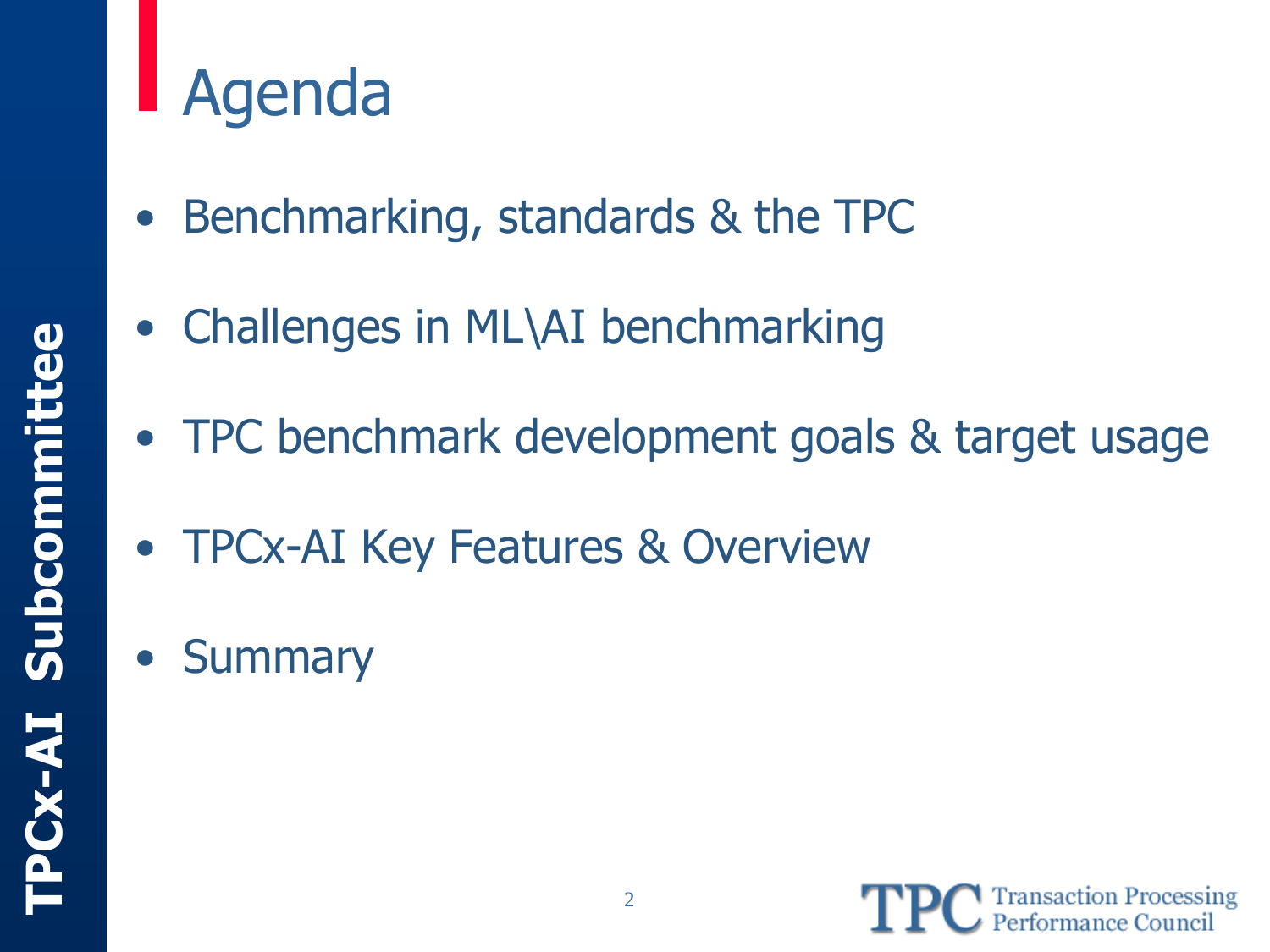## Agenda

- Benchmarking, standards & the TPC
- Challenges in ML\AI benchmarking
- TPC benchmark development goals & target usage
- TPCx-AI Key Features & Overview
- Summary

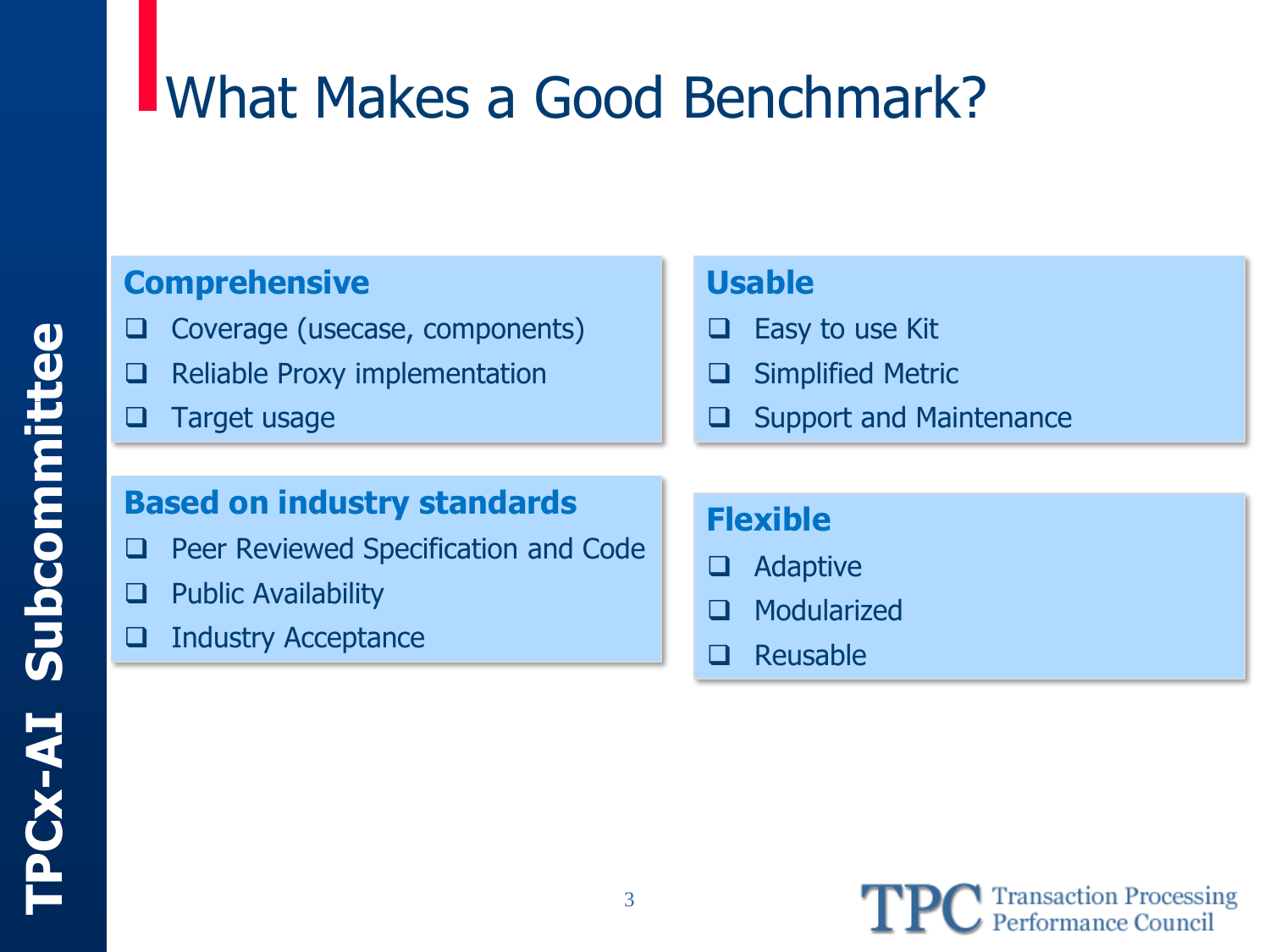### What Makes a Good Benchmark?

#### **Comprehensive**

- ❑ Coverage (usecase, components)
- ❑ Reliable Proxy implementation
- ❑ Target usage

#### **Usable**

- ❑ Easy to use Kit
- ❑ Simplified Metric
- ❑ Support and Maintenance

#### **Based on industry standards**

- ❑ Peer Reviewed Specification and Code
- ❑ Public Availability
- ❑ Industry Acceptance

#### **Flexible**

- ❑ Adaptive
- ❑ Modularized
- ❑ Reusable

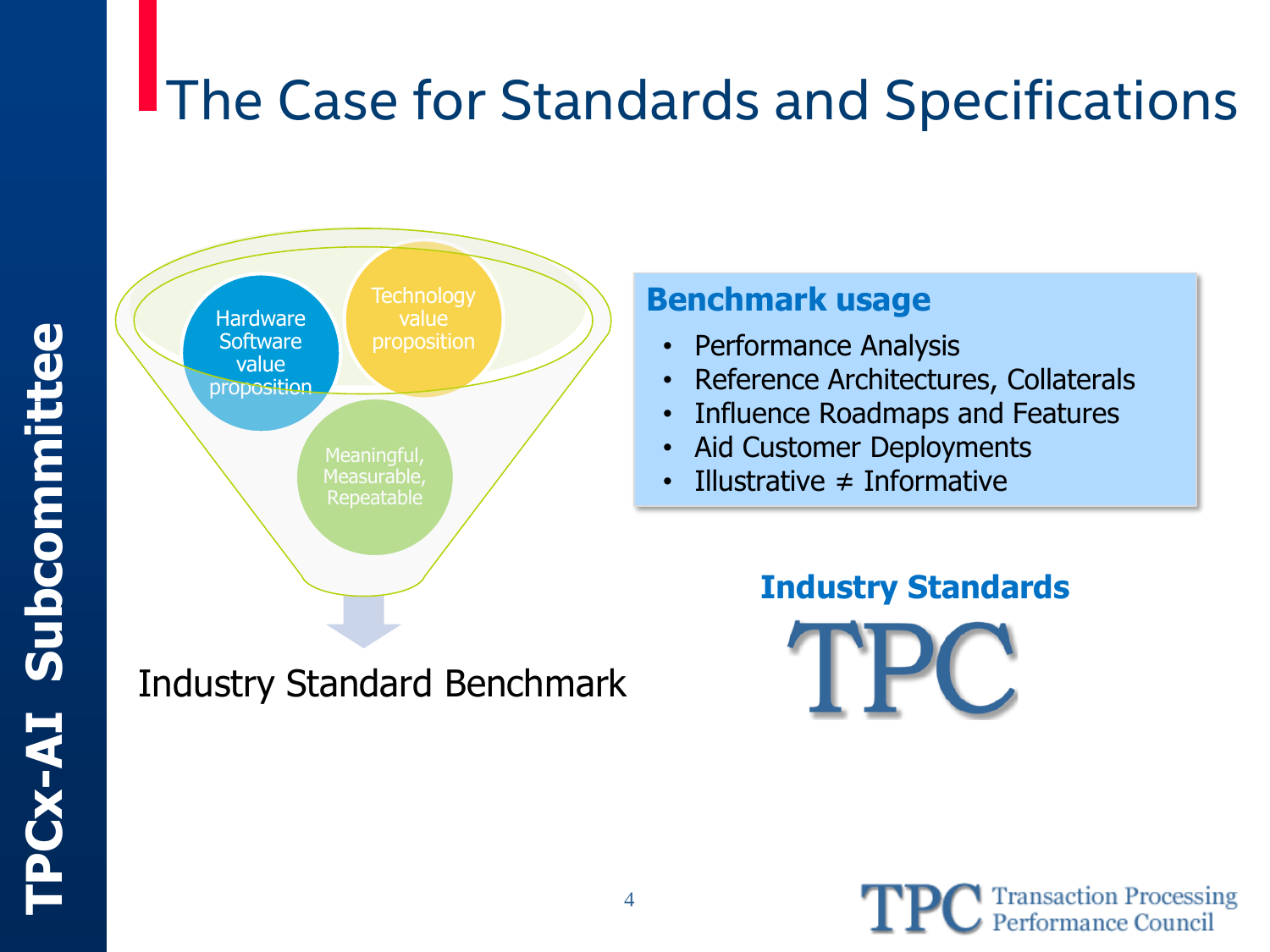### **The Case for Standards and Specifications**



Industry Standard Benchmark

#### **Benchmark usage**

- Performance Analysis
- Reference Architectures, Collaterals
- Influence Roadmaps and Features
- Aid Customer Deployments
- Illustrative  $\neq$  Informative



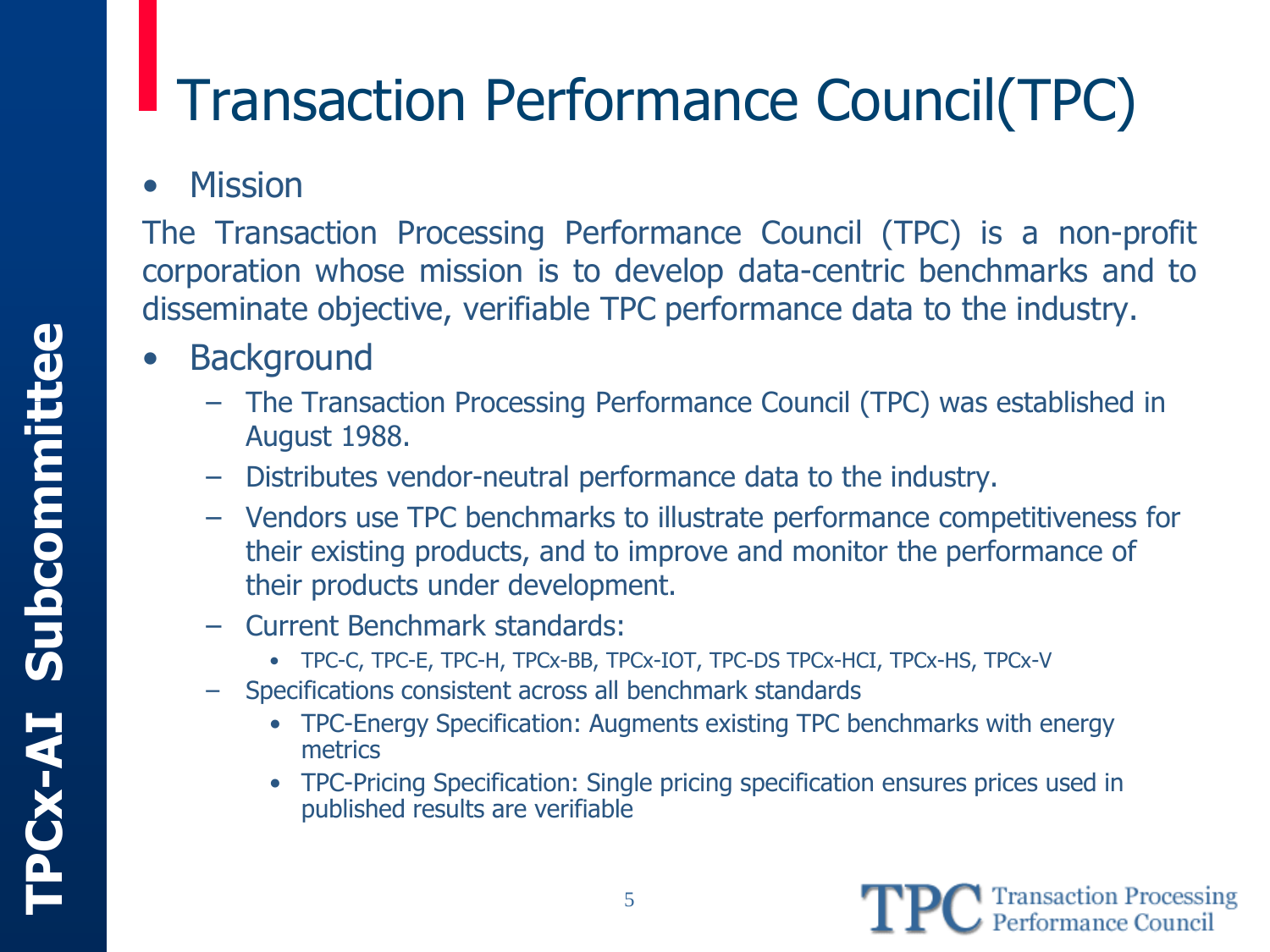### Transaction Performance Council(TPC)

#### • Mission

The Transaction Processing Performance Council (TPC) is a non-profit corporation whose mission is to develop data-centric benchmarks and to disseminate objective, verifiable TPC performance data to the industry.

- **Background** 
	- The Transaction Processing Performance Council (TPC) was established in August 1988.
	- Distributes vendor-neutral performance data to the industry.
	- Vendors use TPC benchmarks to illustrate performance competitiveness for their existing products, and to improve and monitor the performance of their products under development.
	- Current Benchmark standards:
		- TPC-C, TPC-E, TPC-H, TPCx-BB, TPCx-IOT, TPC-DS TPCx-HCI, TPCx-HS, TPCx-V
	- Specifications consistent across all benchmark standards
		- TPC-Energy Specification: Augments existing TPC benchmarks with energy metrics
		- TPC-Pricing Specification: Single pricing specification ensures prices used in published results are verifiable

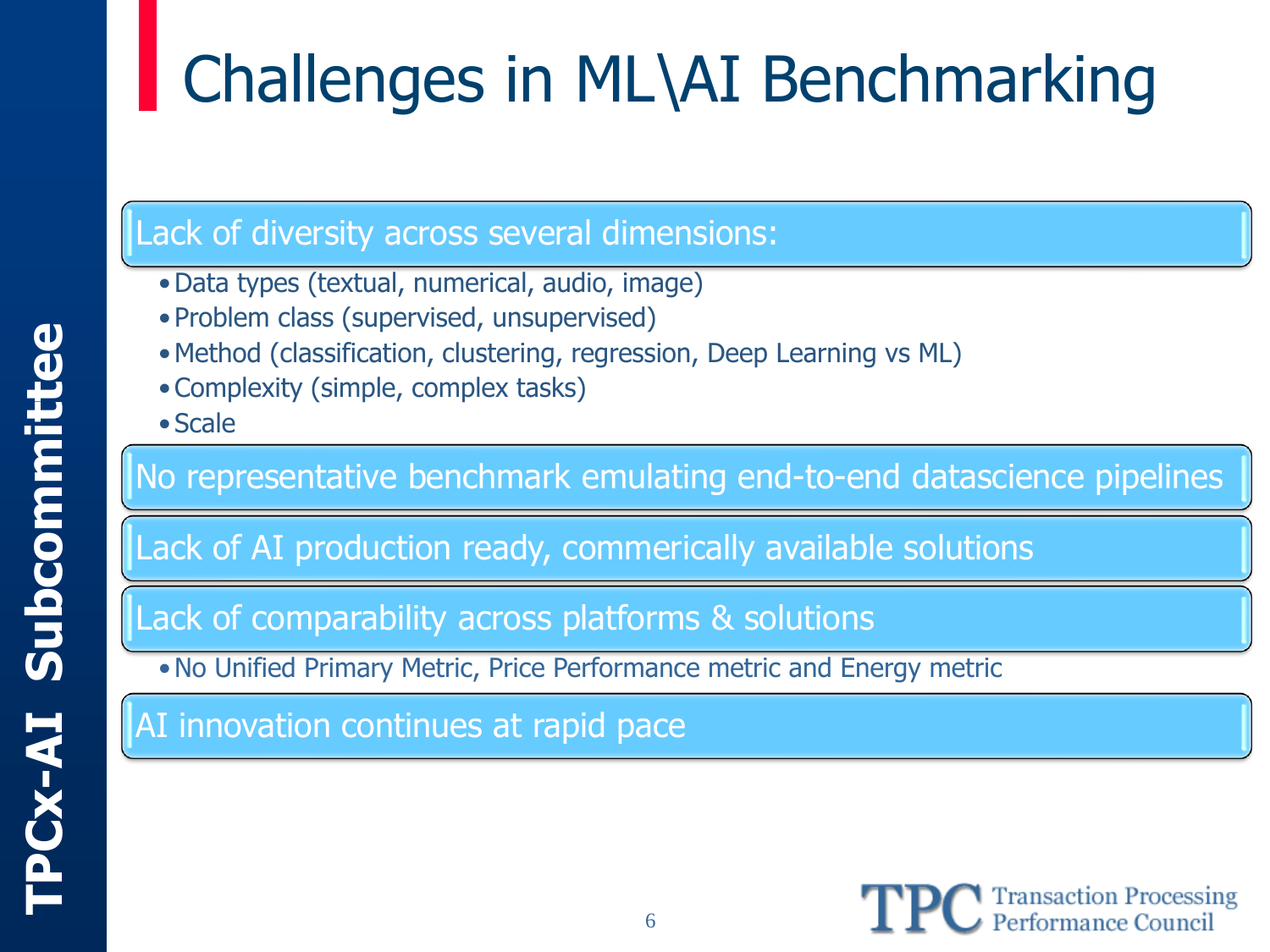# Challenges in ML\AI Benchmarking

#### Lack of diversity across several dimensions:

- •Data types (textual, numerical, audio, image)
- Problem class (supervised, unsupervised)
- •Method (classification, clustering, regression, Deep Learning vs ML)
- •Complexity (simple, complex tasks)
- Scale

#### No representative benchmark emulating end-to-end datascience pipelines

Lack of AI production ready, commerically available solutions

Lack of comparability across platforms & solutions

•No Unified Primary Metric, Price Performance metric and Energy metric

AI innovation continues at rapid pace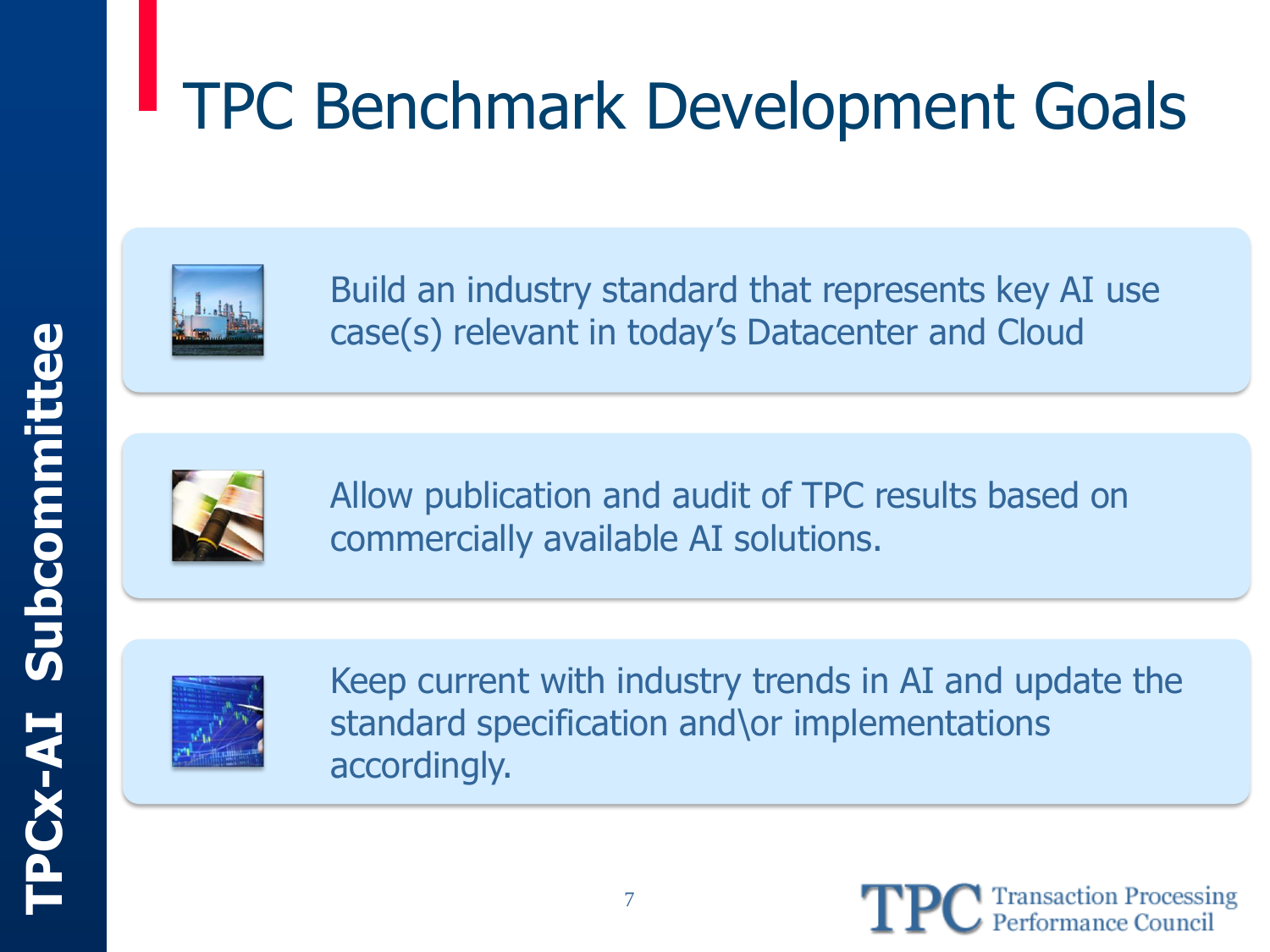## TPC Benchmark Development Goals



Build an industry standard that represents key AI use case(s) relevant in today's Datacenter and Cloud



Allow publication and audit of TPC results based on commercially available AI solutions.



Keep current with industry trends in AI and update the standard specification and\or implementations accordingly.

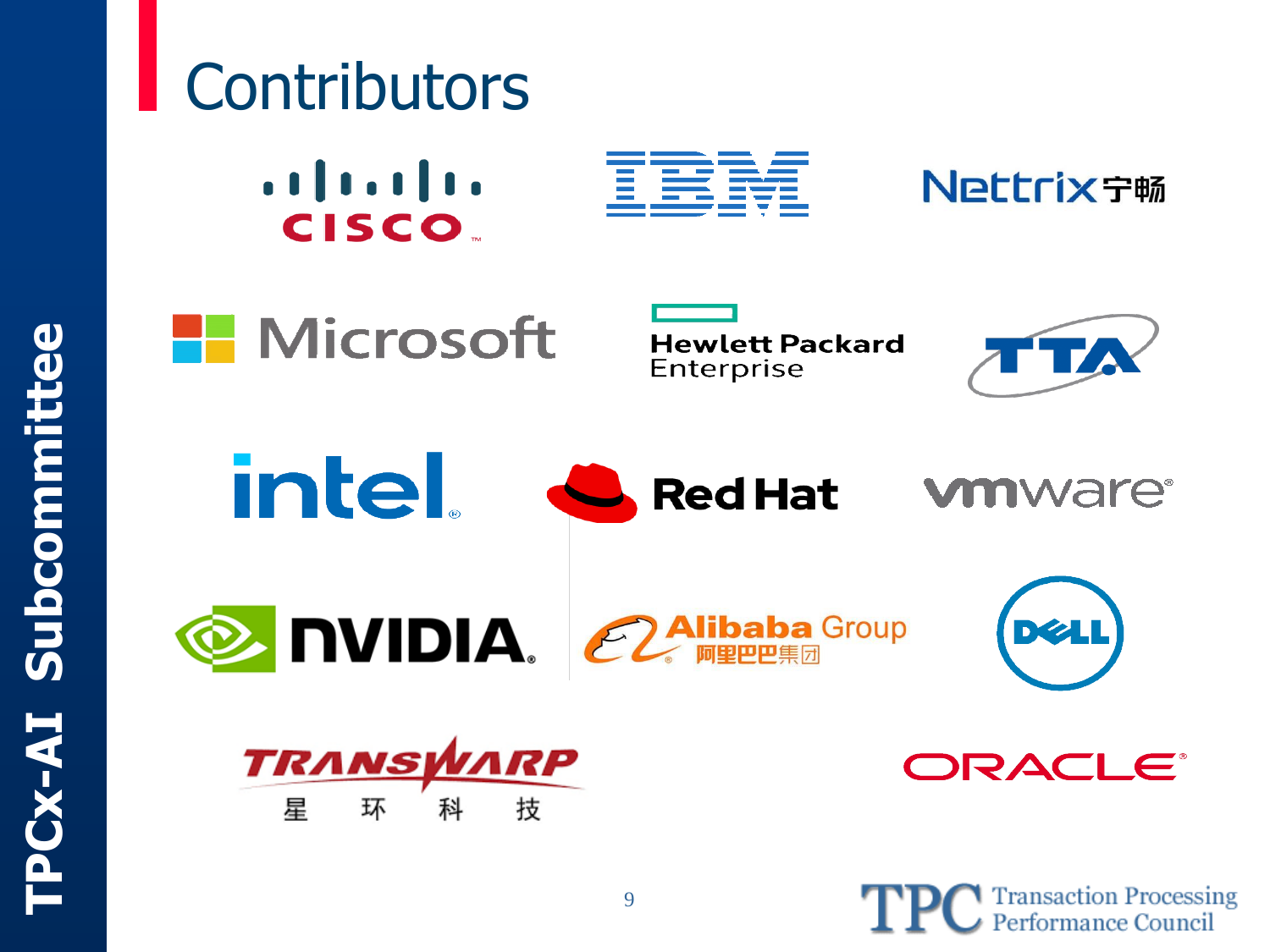

#### **Contributors**  $\frac{1}{2}$ IBB Nettrix守畅 **CISCO.**



**Hewlett Packard** Enterprise











DRACLE®



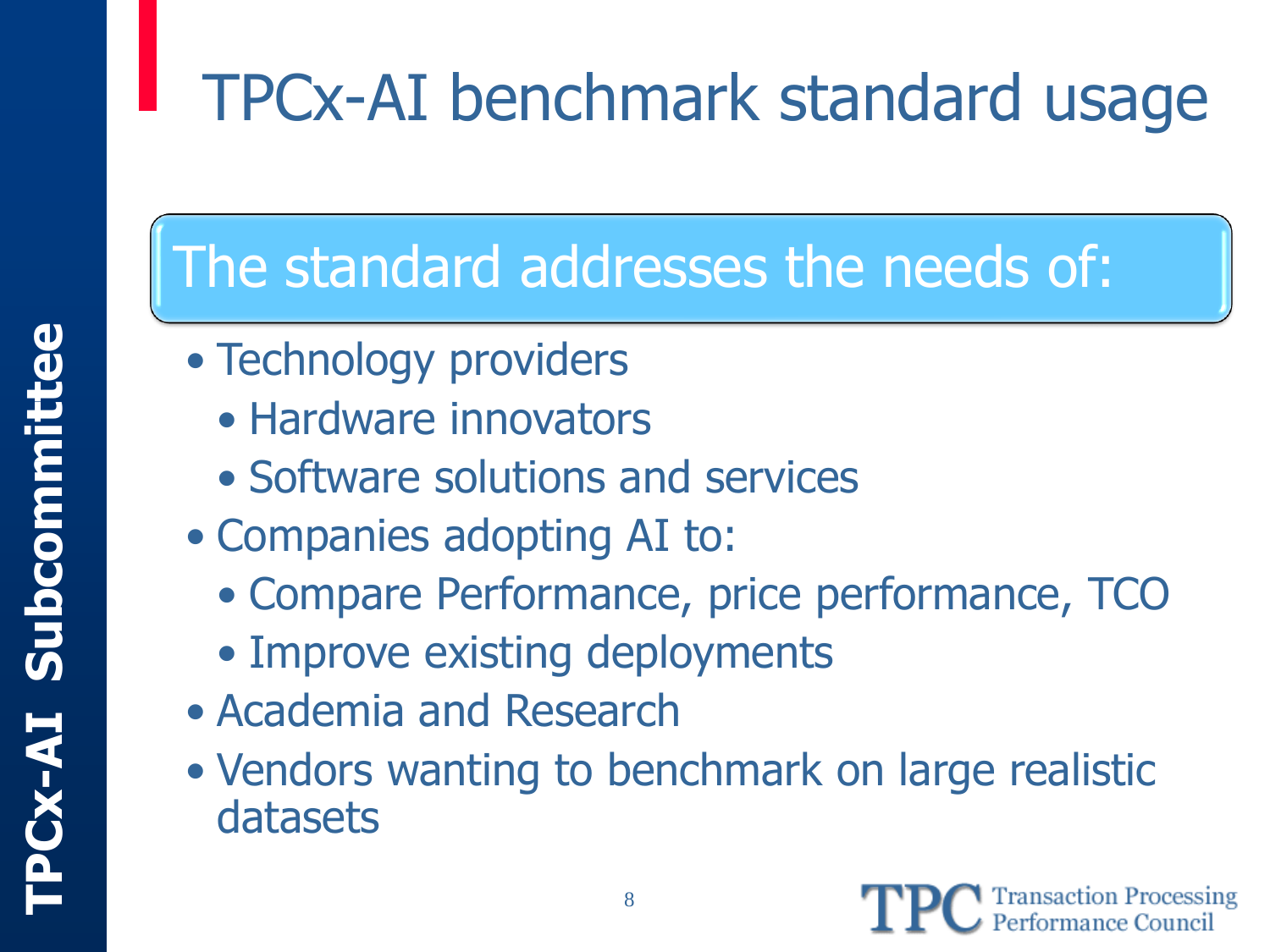## TPCx-AI benchmark standard usage

### The standard addresses the needs of:

- Technology providers
	- Hardware innovators
	- Software solutions and services
- Companies adopting AI to:
	- Compare Performance, price performance, TCO
	- Improve existing deployments
- Academia and Research
- Vendors wanting to benchmark on large realistic datasets

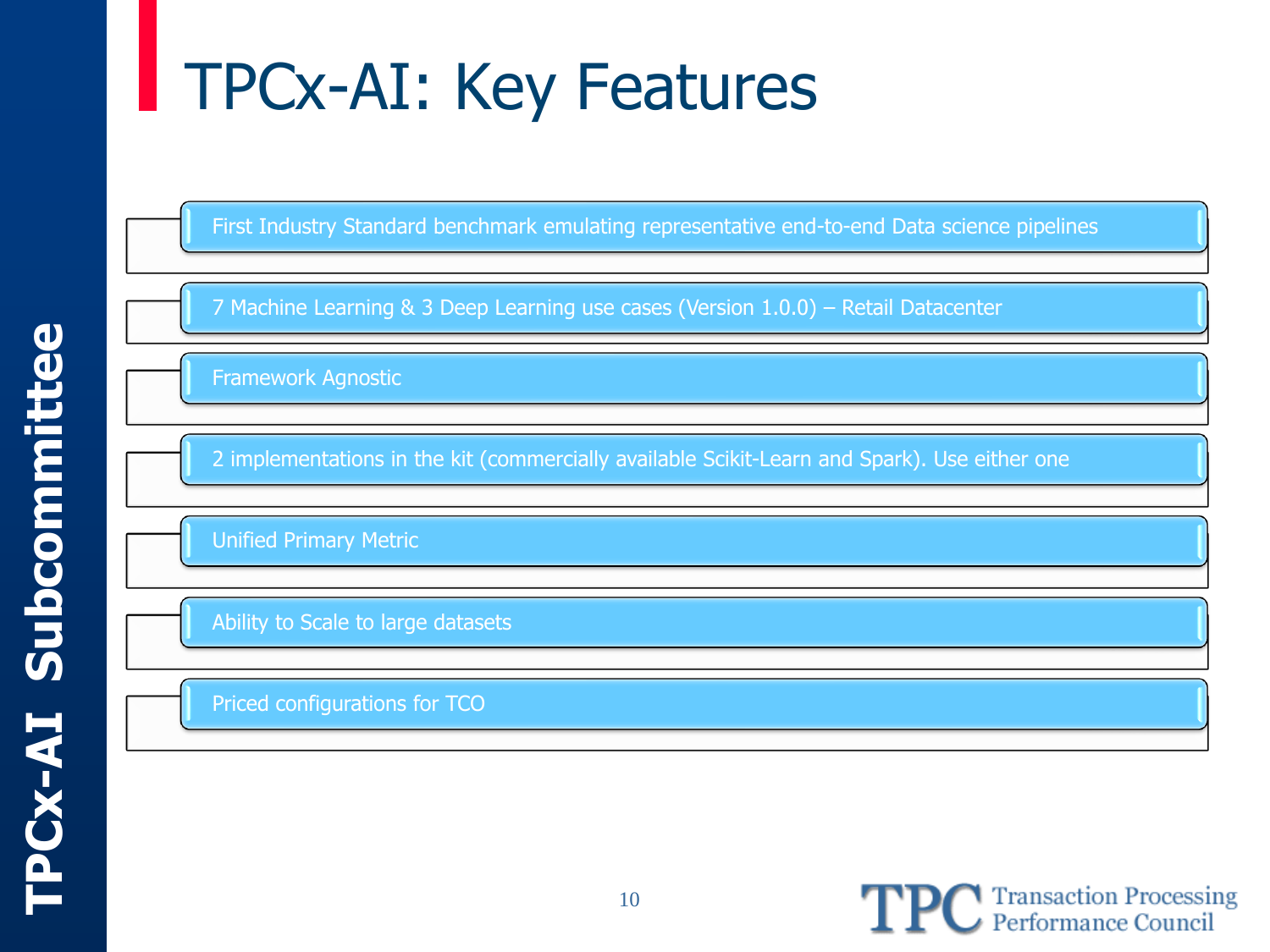## TPCx-AI: Key Features

First Industry Standard benchmark emulating representative end-to-end Data science pipelines

7 Machine Learning & 3 Deep Learning use cases (Version 1.0.0) – Retail Datacenter

Framework Agnostic

2 implementations in the kit (commercially available Scikit-Learn and Spark). Use either one

Unified Primary Metric

Ability to Scale to large datasets

Priced configurations for TCO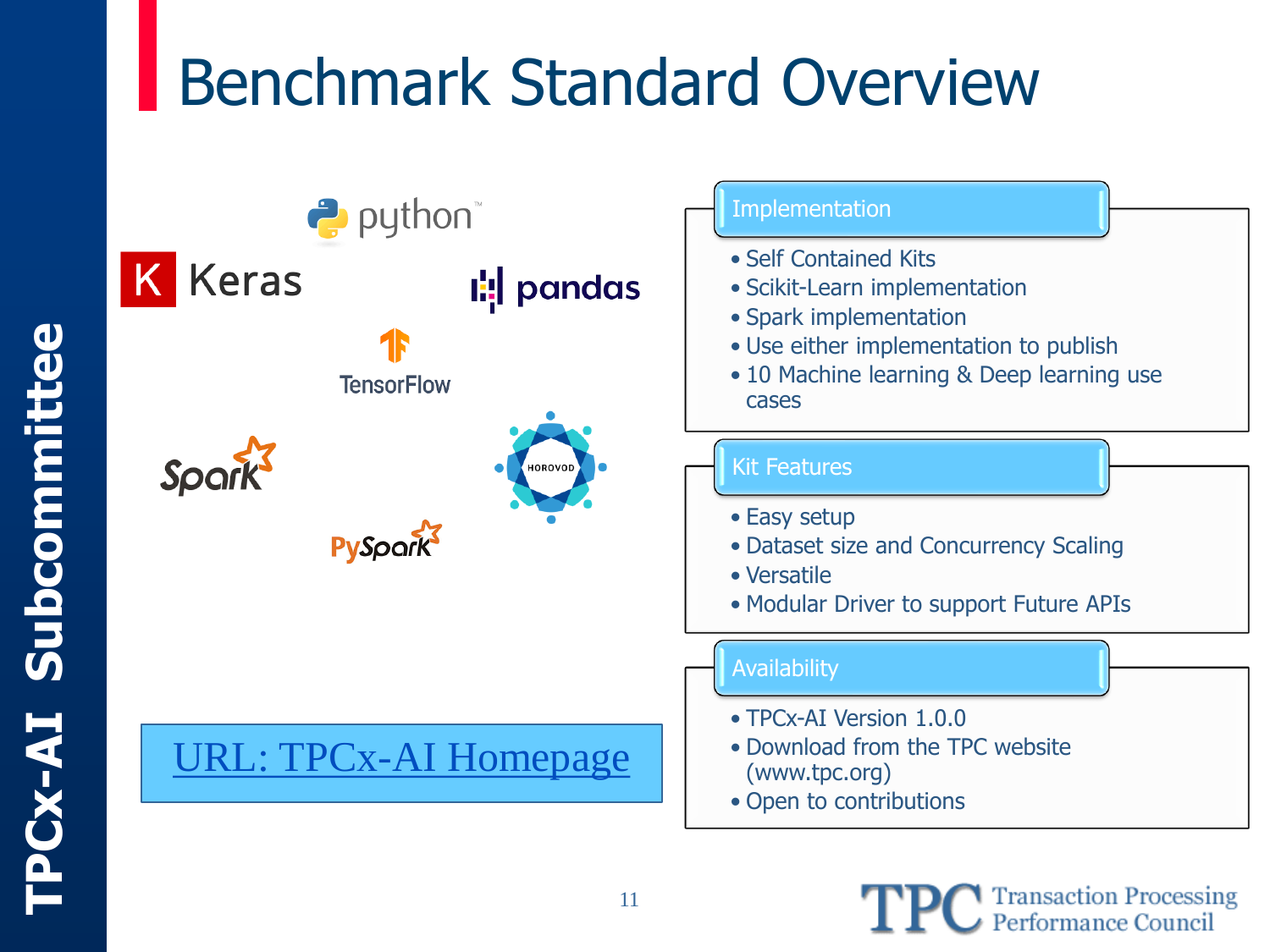## Benchmark Standard Overview



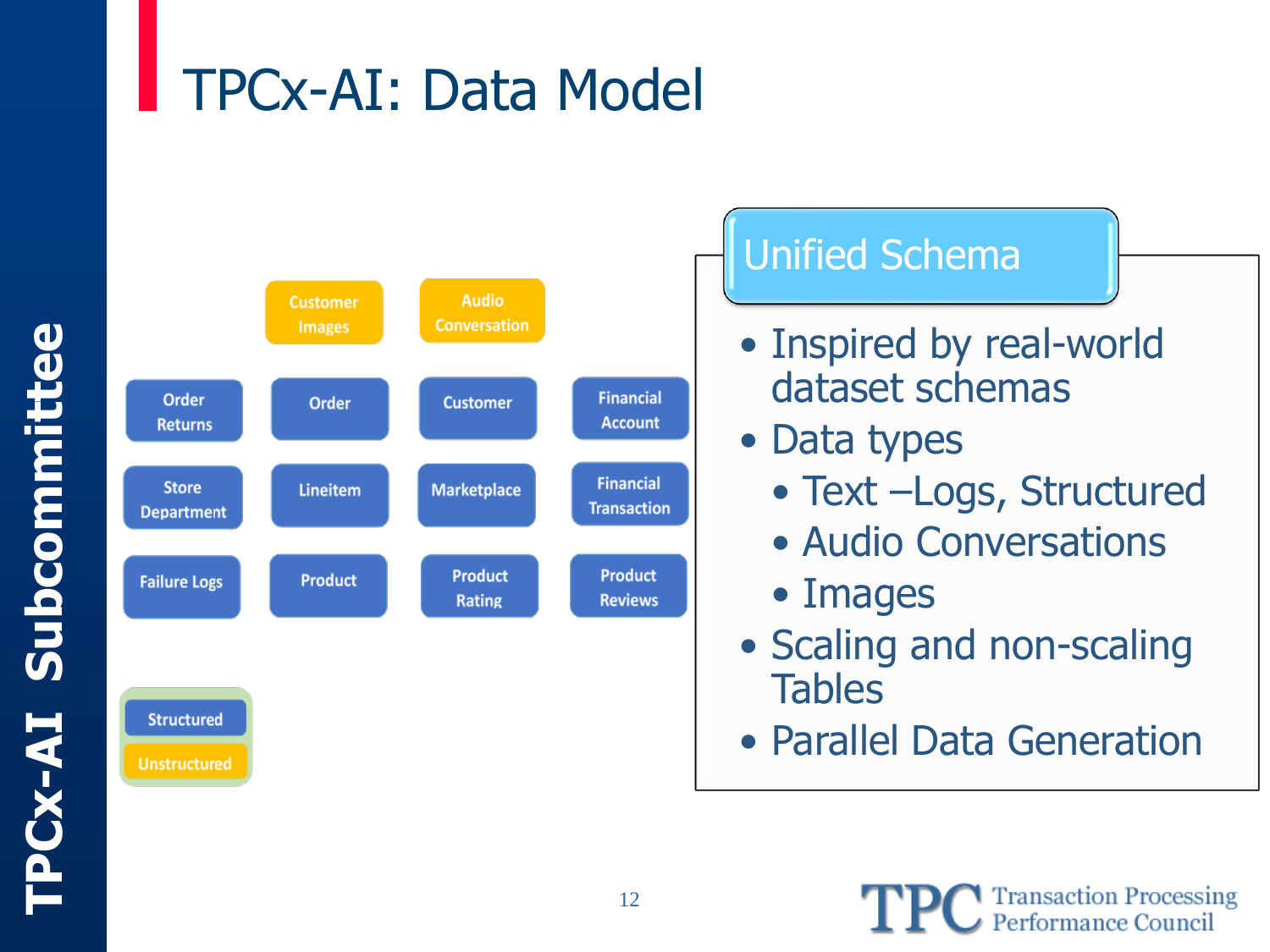#### TPCx-AI: Data Model



#### Unified Schema

- Inspired by real-world dataset schemas
- Data types
	- Text –Logs, Structured
	- Audio Conversations
	- Images
- Scaling and non-scaling **Tables**
- Parallel Data Generation

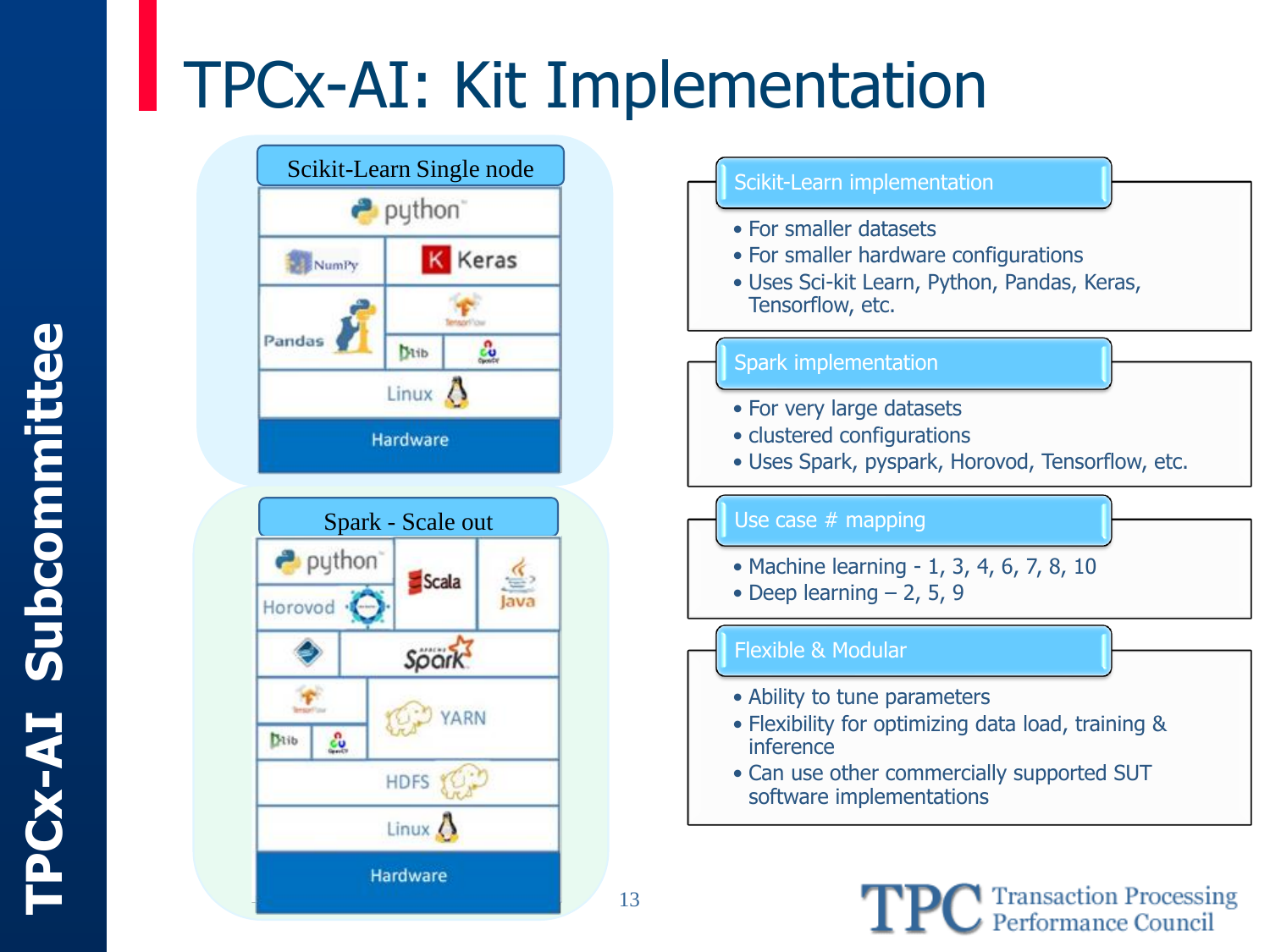## TPCx-AI: Kit Implementation









13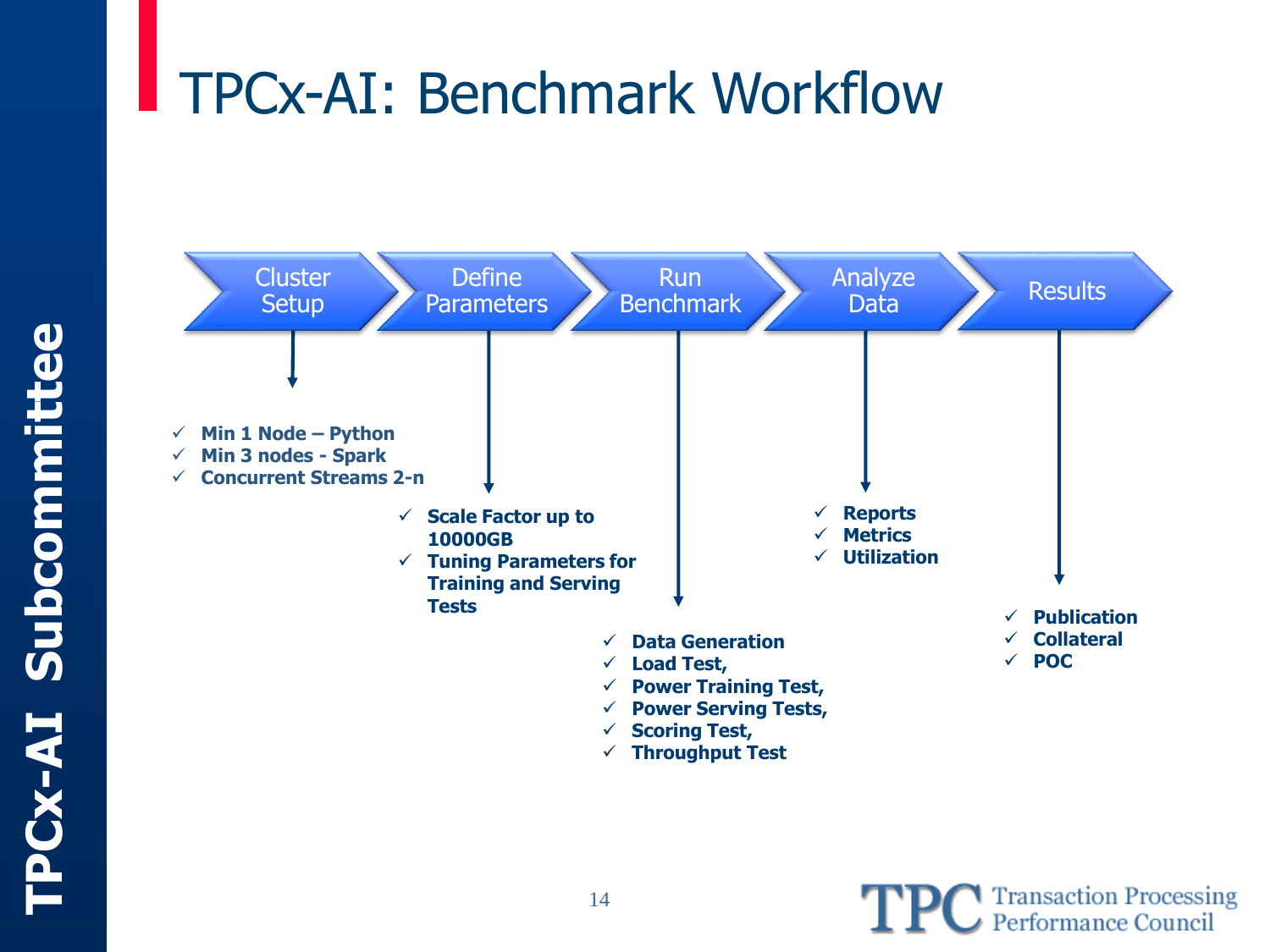### TPCx-AI: Benchmark Workflow



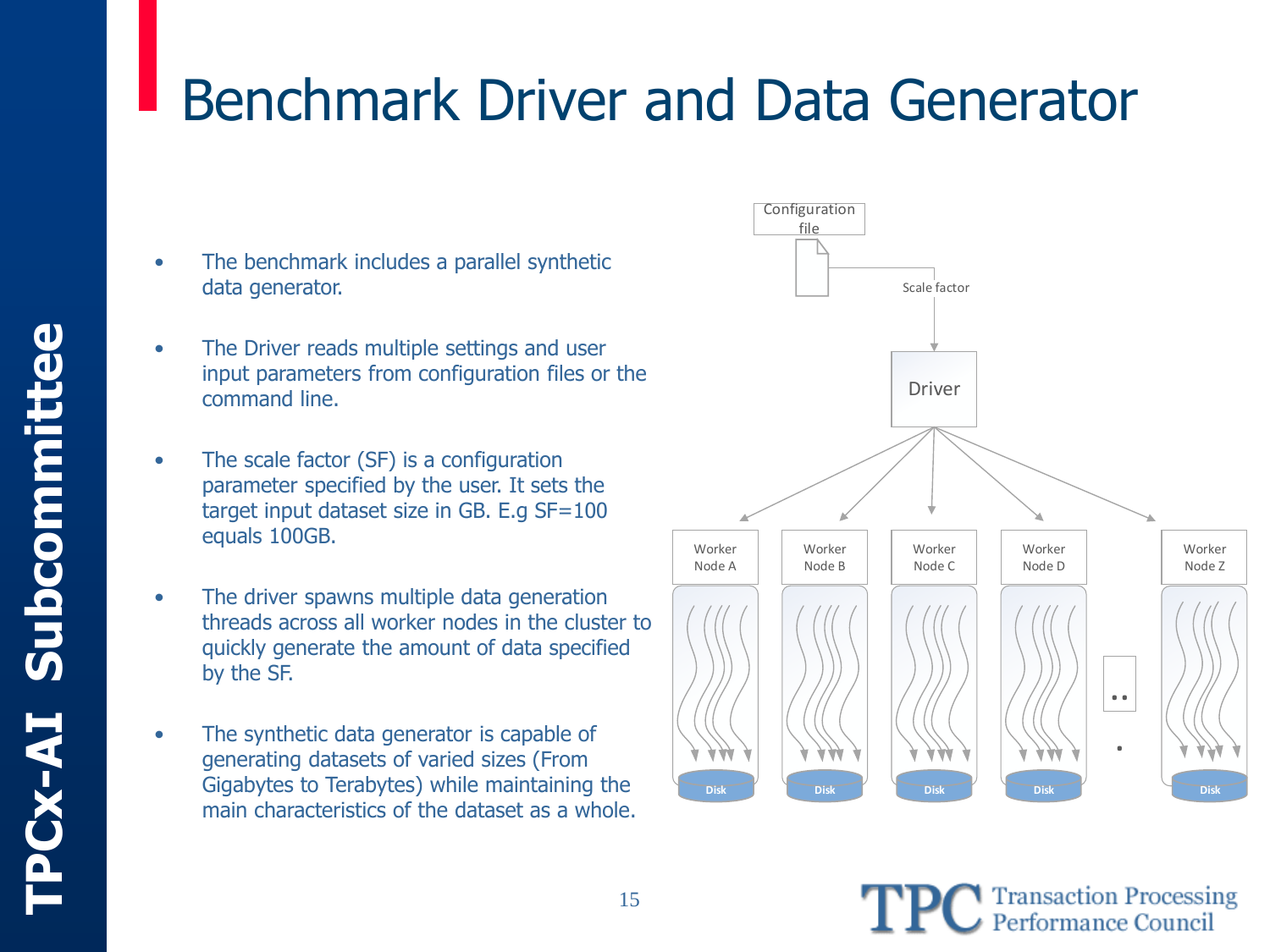### **Transaction Processing<br>Performance Council**

# Benchmark Driver and Data Generator

- The benchmark includes a parallel synthetic data generator.
- The Driver reads multiple settings and user input parameters from configuration files or the command line.
- The scale factor (SF) is a configuration parameter specified by the user. It sets the target input dataset size in GB. E.g SF=100 equals 100GB.
- The driver spawns multiple data generation threads across all worker nodes in the cluster to quickly generate the amount of data specified by the SF.
- The synthetic data generator is capable of generating datasets of varied sizes (From Gigabytes to Terabytes) while maintaining the main characteristics of the dataset as a whole.

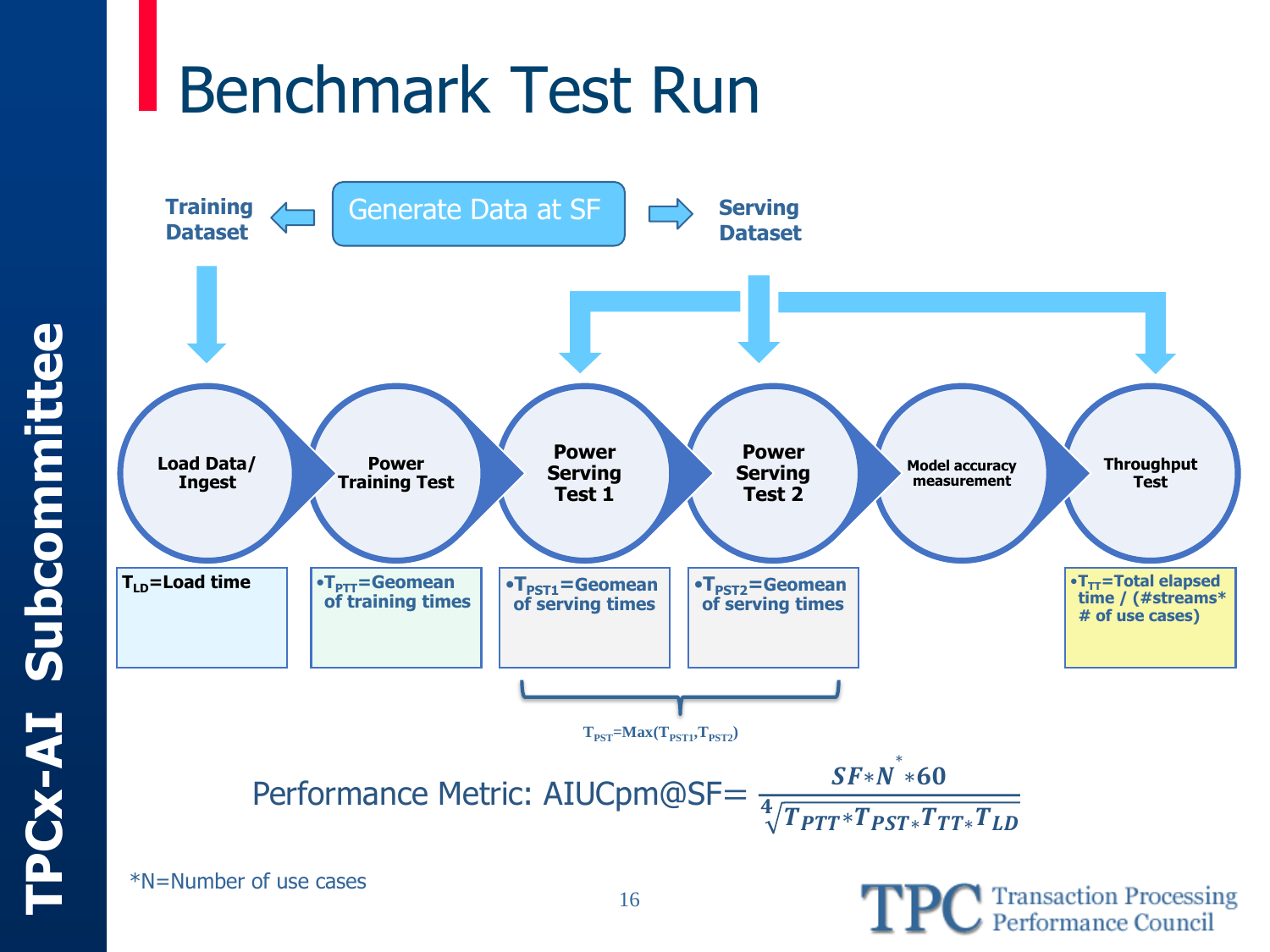## Benchmark Test Run



\*N=Number of use cases

**TPC** Transaction Processing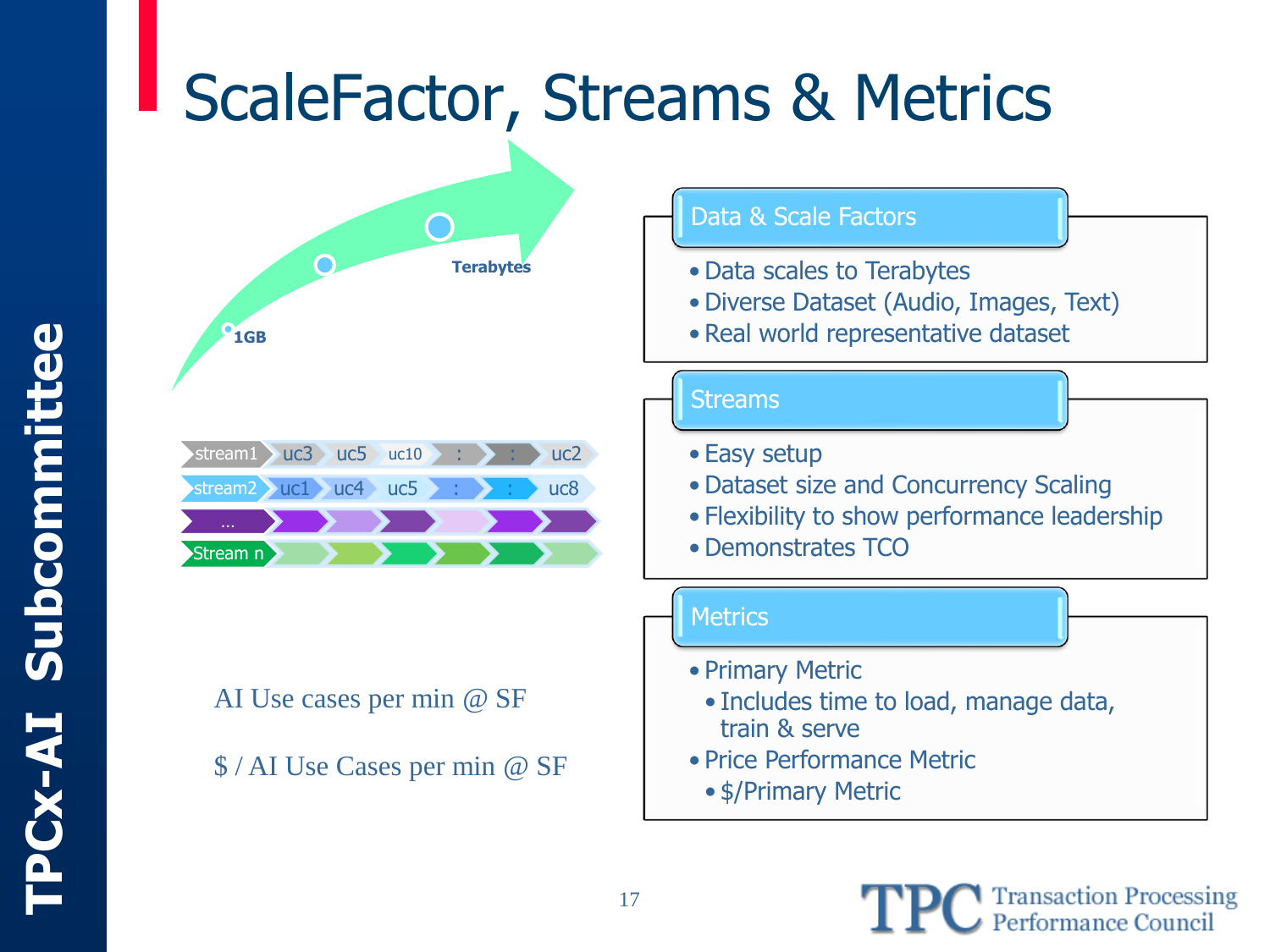## ScaleFactor, Streams & Metrics



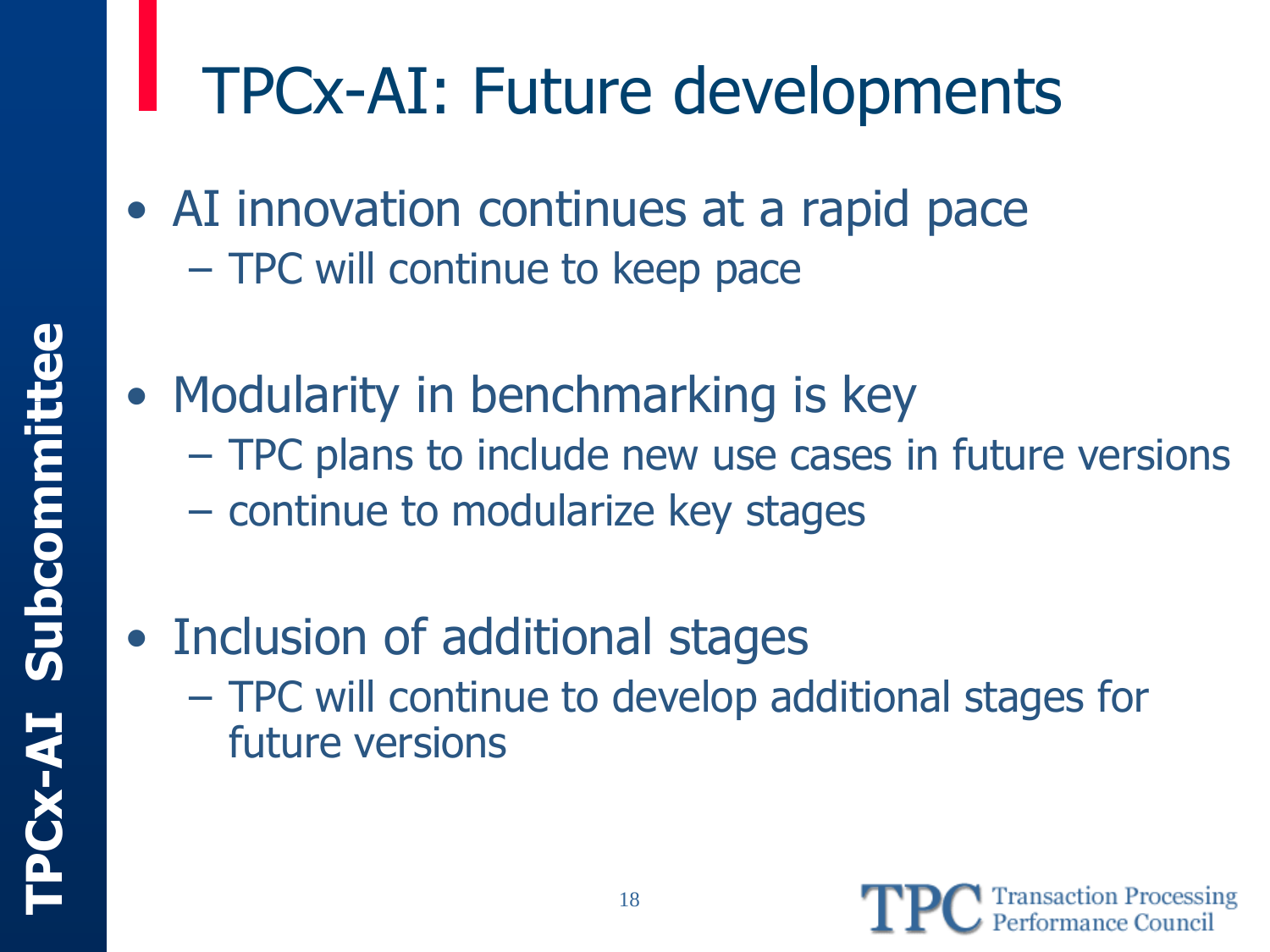## TPCx-AI: Future developments

- AI innovation continues at a rapid pace – TPC will continue to keep pace
- Modularity in benchmarking is key
	- TPC plans to include new use cases in future versions
	- continue to modularize key stages
- Inclusion of additional stages
	- TPC will continue to develop additional stages for future versions

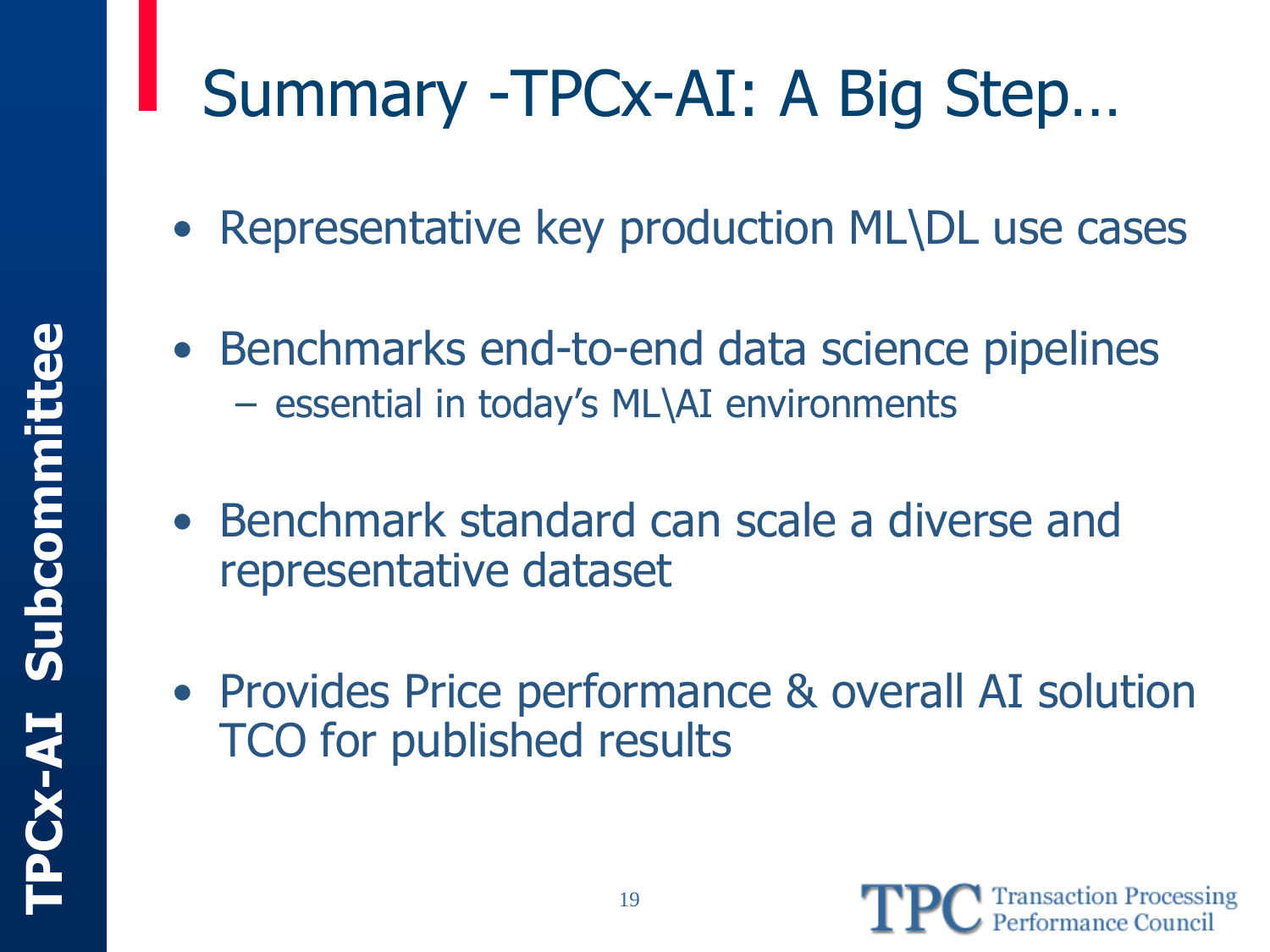# Summary -TPCx-AI: A Big Step…

- Representative key production ML\DL use cases
- Benchmarks end-to-end data science pipelines – essential in today's ML\AI environments
- Benchmark standard can scale a diverse and representative dataset
- Provides Price performance & overall AI solution TCO for published results